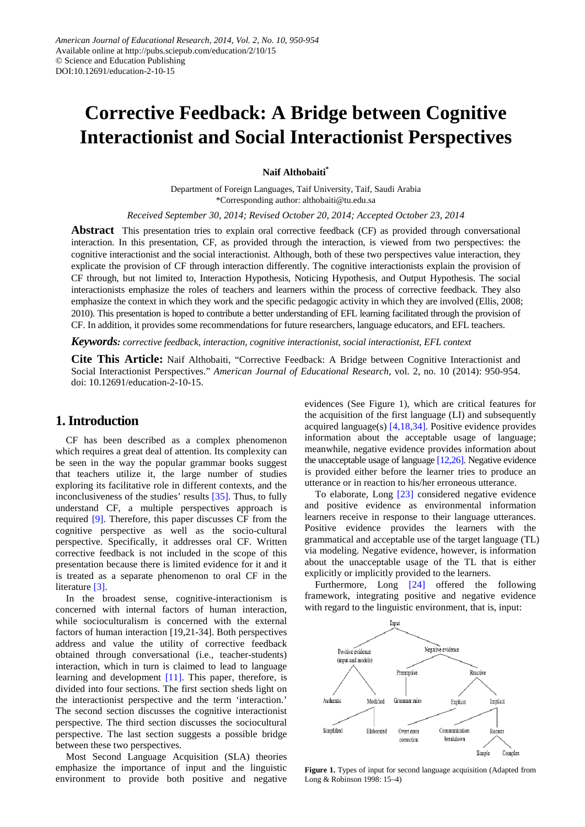# **Corrective Feedback: A Bridge between Cognitive Interactionist and Social Interactionist Perspectives**

**Naif Althobaiti\***

Department of Foreign Languages, Taif University, Taif, Saudi Arabia \*Corresponding author: althobaiti@tu.edu.sa

*Received September 30, 2014; Revised October 20, 2014; Accepted October 23, 2014*

**Abstract** This presentation tries to explain oral corrective feedback (CF) as provided through conversational interaction. In this presentation, CF, as provided through the interaction, is viewed from two perspectives: the cognitive interactionist and the social interactionist. Although, both of these two perspectives value interaction, they explicate the provision of CF through interaction differently. The cognitive interactionists explain the provision of CF through, but not limited to, Interaction Hypothesis, Noticing Hypothesis, and Output Hypothesis. The social interactionists emphasize the roles of teachers and learners within the process of corrective feedback. They also emphasize the context in which they work and the specific pedagogic activity in which they are involved (Ellis, 2008; 2010). This presentation is hoped to contribute a better understanding of EFL learning facilitated through the provision of CF. In addition, it provides some recommendations for future researchers, language educators, and EFL teachers.

*Keywords: corrective feedback, interaction, cognitive interactionist, social interactionist, EFL context*

**Cite This Article:** Naif Althobaiti, "Corrective Feedback: A Bridge between Cognitive Interactionist and Social Interactionist Perspectives." *American Journal of Educational Research*, vol. 2, no. 10 (2014): 950-954. doi: 10.12691/education-2-10-15.

## **1. Introduction**

CF has been described as a complex phenomenon which requires a great deal of attention. Its complexity can be seen in the way the popular grammar books suggest that teachers utilize it, the large number of studies exploring its facilitative role in different contexts, and the inconclusiveness of the studies' results [\[35\].](#page-4-0) Thus, to fully understand CF, a multiple perspectives approach is required [\[9\].](#page-4-1) Therefore, this paper discusses CF from the cognitive perspective as well as the socio-cultural perspective. Specifically, it addresses oral CF. Written corrective feedback is not included in the scope of this presentation because there is limited evidence for it and it is treated as a separate phenomenon to oral CF in the literature [\[3\].](#page-4-2)

In the broadest sense, cognitive-interactionism is concerned with internal factors of human interaction, while socioculturalism is concerned with the external factors of human interaction [19,21-34]. Both perspectives address and value the utility of corrective feedback obtained through conversational (i.e., teacher-students) interaction, which in turn is claimed to lead to language learning and development [\[11\].](#page-4-3) This paper, therefore, is divided into four sections. The first section sheds light on the interactionist perspective and the term 'interaction.' The second section discusses the cognitive interactionist perspective. The third section discusses the sociocultural perspective. The last section suggests a possible bridge between these two perspectives.

Most Second Language Acquisition (SLA) theories emphasize the importance of input and the linguistic environment to provide both positive and negative evidences (See Figure 1), which are critical features for the acquisition of the first language (LI) and subsequently acquired language(s) [\[4,18,34\].](#page-4-4) Positive evidence provides information about the acceptable usage of language; meanwhile, negative evidence provides information about the unacceptable usage of language  $[12,26]$ . Negative evidence is provided either before the learner tries to produce an utterance or in reaction to his/her erroneous utterance.

To elaborate, Long [\[23\]](#page-4-6) considered negative evidence and positive evidence as environmental information learners receive in response to their language utterances. Positive evidence provides the learners with the grammatical and acceptable use of the target language (TL) via modeling. Negative evidence, however, is information about the unacceptable usage of the TL that is either explicitly or implicitly provided to the learners.

Furthermore, Long [\[24\]](#page-4-7) offered the following framework, integrating positive and negative evidence with regard to the linguistic environment, that is, input:



**Figure 1.** Types of input for second language acquisition (Adapted from Long & Robinson 1998: 15–4)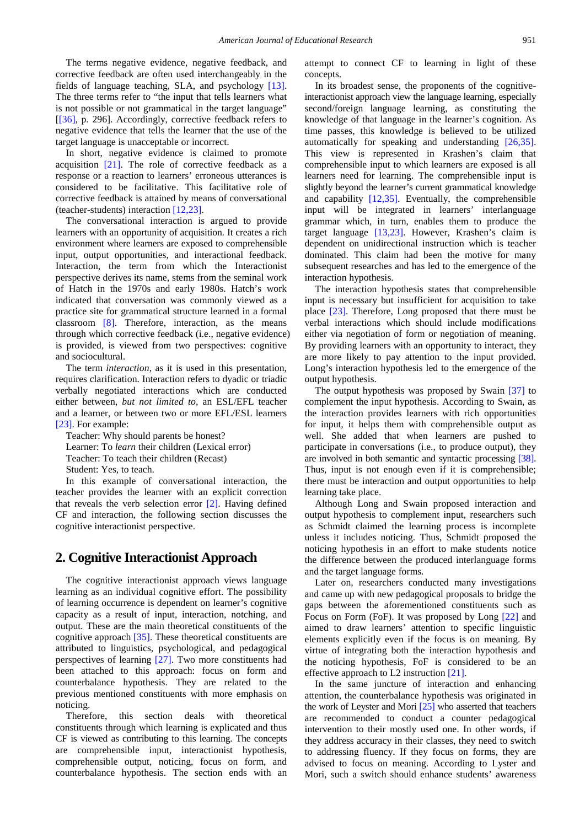The terms negative evidence, negative feedback, and corrective feedback are often used interchangeably in the fields of language teaching, SLA, and psychology [\[13\].](#page-4-8) The three terms refer to "the input that tells learners what is not possible or not grammatical in the target language" [\[\[36\],](#page-4-9) p. 296]. Accordingly, corrective feedback refers to negative evidence that tells the learner that the use of the target language is unacceptable or incorrect.

In short, negative evidence is claimed to promote acquisition  $[21]$ . The role of corrective feedback as a response or a reaction to learners' erroneous utterances is considered to be facilitative. This facilitative role of corrective feedback is attained by means of conversational (teacher-students) interaction [\[12,23\].](#page-4-5)

The conversational interaction is argued to provide learners with an opportunity of acquisition. It creates a rich environment where learners are exposed to comprehensible input, output opportunities, and interactional feedback. Interaction, the term from which the Interactionist perspective derives its name, stems from the seminal work of Hatch in the 1970s and early 1980s. Hatch's work indicated that conversation was commonly viewed as a practice site for grammatical structure learned in a formal classroom [\[8\].](#page-4-11) Therefore, interaction, as the means through which corrective feedback (i.e., negative evidence) is provided, is viewed from two perspectives: cognitive and sociocultural.

The term *interaction*, as it is used in this presentation, requires clarification. Interaction refers to dyadic or triadic verbally negotiated interactions which are conducted either between, *but not limited to*, an ESL/EFL teacher and a learner, or between two or more EFL/ESL learners [\[23\].](#page-4-6) For example:

Teacher: Why should parents be honest? Learner: To *learn* their children (Lexical error) Teacher: To teach their children (Recast) Student: Yes, to teach.

In this example of conversational interaction, the teacher provides the learner with an explicit correction that reveals the verb selection error [\[2\].](#page-4-12) Having defined CF and interaction, the following section discusses the cognitive interactionist perspective.

# **2. Cognitive Interactionist Approach**

The cognitive interactionist approach views language learning as an individual cognitive effort. The possibility of learning occurrence is dependent on learner's cognitive capacity as a result of input, interaction, notching, and output. These are the main theoretical constituents of the cognitive approach [\[35\].](#page-4-0) These theoretical constituents are attributed to linguistics, psychological, and pedagogical perspectives of learning [\[27\].](#page-4-13) Two more constituents had been attached to this approach: focus on form and counterbalance hypothesis. They are related to the previous mentioned constituents with more emphasis on noticing.

Therefore, this section deals with theoretical constituents through which learning is explicated and thus CF is viewed as contributing to this learning. The concepts are comprehensible input, interactionist hypothesis, comprehensible output, noticing, focus on form, and counterbalance hypothesis. The section ends with an attempt to connect CF to learning in light of these concepts.

In its broadest sense, the proponents of the cognitiveinteractionist approach view the language learning, especially second/foreign language learning, as constituting the knowledge of that language in the learner's cognition. As time passes, this knowledge is believed to be utilized automatically for speaking and understanding [\[26,35\].](#page-4-14) This view is represented in Krashen's claim that comprehensible input to which learners are exposed is all learners need for learning. The comprehensible input is slightly beyond the learner's current grammatical knowledge and capability [\[12,35\].](#page-4-5) Eventually, the comprehensible input will be integrated in learners' interlanguage grammar which, in turn, enables them to produce the target language [\[13,23\].](#page-4-8) However, Krashen's claim is dependent on unidirectional instruction which is teacher dominated. This claim had been the motive for many subsequent researches and has led to the emergence of the interaction hypothesis.

The interaction hypothesis states that comprehensible input is necessary but insufficient for acquisition to take place [\[23\].](#page-4-6) Therefore, Long proposed that there must be verbal interactions which should include modifications either via negotiation of form or negotiation of meaning. By providing learners with an opportunity to interact, they are more likely to pay attention to the input provided. Long's interaction hypothesis led to the emergence of the output hypothesis.

The output hypothesis was proposed by Swain [\[37\]](#page-4-15) to complement the input hypothesis. According to Swain, as the interaction provides learners with rich opportunities for input, it helps them with comprehensible output as well. She added that when learners are pushed to participate in conversations (i.e., to produce output), they are involved in both semantic and syntactic processing [\[38\].](#page-4-16)  Thus, input is not enough even if it is comprehensible; there must be interaction and output opportunities to help learning take place.

Although Long and Swain proposed interaction and output hypothesis to complement input, researchers such as Schmidt claimed the learning process is incomplete unless it includes noticing. Thus, Schmidt proposed the noticing hypothesis in an effort to make students notice the difference between the produced interlanguage forms and the target language forms.

Later on, researchers conducted many investigations and came up with new pedagogical proposals to bridge the gaps between the aforementioned constituents such as Focus on Form (FoF). It was proposed by Long [\[22\]](#page-4-17) and aimed to draw learners' attention to specific linguistic elements explicitly even if the focus is on meaning. By virtue of integrating both the interaction hypothesis and the noticing hypothesis, FoF is considered to be an effective approach to L2 instruction [\[21\].](#page-4-10)

In the same juncture of interaction and enhancing attention, the counterbalance hypothesis was originated in the work of Leyster and Mori [\[25\]](#page-4-18) who asserted that teachers are recommended to conduct a counter pedagogical intervention to their mostly used one. In other words, if they address accuracy in their classes, they need to switch to addressing fluency. If they focus on forms, they are advised to focus on meaning. According to Lyster and Mori, such a switch should enhance students' awareness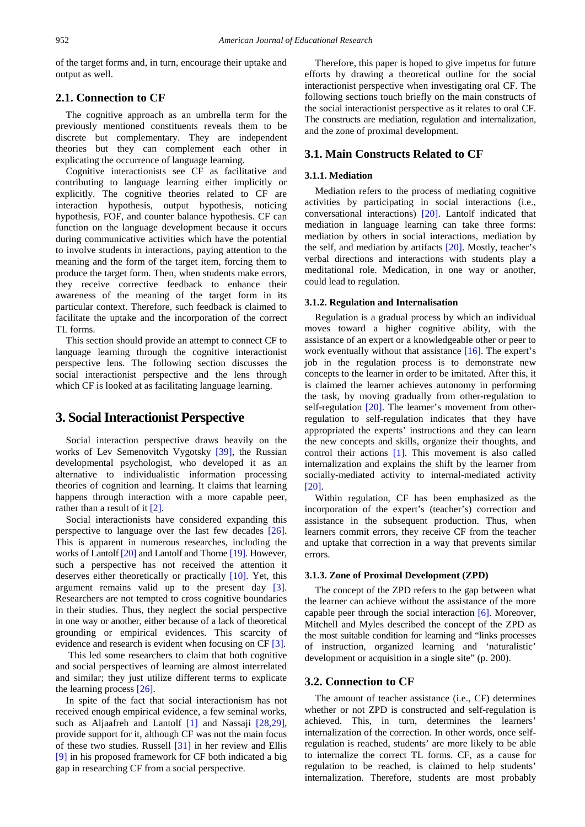of the target forms and, in turn, encourage their uptake and output as well.

## **2.1. Connection to CF**

The cognitive approach as an umbrella term for the previously mentioned constituents reveals them to be discrete but complementary. They are independent theories but they can complement each other in explicating the occurrence of language learning.

Cognitive interactionists see CF as facilitative and contributing to language learning either implicitly or explicitly. The cognitive theories related to CF are interaction hypothesis, output hypothesis, noticing hypothesis, FOF, and counter balance hypothesis. CF can function on the language development because it occurs during communicative activities which have the potential to involve students in interactions, paying attention to the meaning and the form of the target item, forcing them to produce the target form. Then, when students make errors, they receive corrective feedback to enhance their awareness of the meaning of the target form in its particular context. Therefore, such feedback is claimed to facilitate the uptake and the incorporation of the correct TL forms.

This section should provide an attempt to connect CF to language learning through the cognitive interactionist perspective lens. The following section discusses the social interactionist perspective and the lens through which CF is looked at as facilitating language learning.

## **3. Social Interactionist Perspective**

Social interaction perspective draws heavily on the works of Lev Semenovitch Vygotsky [\[39\],](#page-4-19) the Russian developmental psychologist, who developed it as an alternative to individualistic information processing theories of cognition and learning. It claims that learning happens through interaction with a more capable peer, rather than a result of it [\[2\].](#page-4-12)

Social interactionists have considered expanding this perspective to language over the last few decades [\[26\].](#page-4-14) This is apparent in numerous researches, including the works of Lantolf [\[20\]](#page-4-20) and Lantolf and Thorne [\[19\].](#page-4-21) However, such a perspective has not received the attention it deserves either theoretically or practically [\[10\].](#page-4-22) Yet, this argument remains valid up to the present day [\[3\].](#page-4-2) Researchers are not tempted to cross cognitive boundaries in their studies. Thus, they neglect the social perspective in one way or another, either because of a lack of theoretical grounding or empirical evidences. This scarcity of evidence and research is evident when focusing on CF [\[3\].](#page-4-2)

This led some researchers to claim that both cognitive and social perspectives of learning are almost interrelated and similar; they just utilize different terms to explicate the learning process [\[26\].](#page-4-14)

In spite of the fact that social interactionism has not received enough empirical evidence, a few seminal works, such as Aljaafreh and Lantolf [\[1\]](#page-4-23) and Nassaji [\[28,29\],](#page-4-24) provide support for it, although CF was not the main focus of these two studies. Russell [\[31\]](#page-4-25) in her review and Ellis [\[9\]](#page-4-1) in his proposed framework for CF both indicated a big gap in researching CF from a social perspective.

Therefore, this paper is hoped to give impetus for future efforts by drawing a theoretical outline for the social interactionist perspective when investigating oral CF. The following sections touch briefly on the main constructs of the social interactionist perspective as it relates to oral CF. The constructs are mediation, regulation and internalization, and the zone of proximal development.

#### **3.1. Main Constructs Related to CF**

#### **3.1.1. Mediation**

Mediation refers to the process of mediating cognitive activities by participating in social interactions (i.e., conversational interactions) [\[20\].](#page-4-20) Lantolf indicated that mediation in language learning can take three forms: mediation by others in social interactions, mediation by the self, and mediation by artifacts [\[20\].](#page-4-20) Mostly, teacher's verbal directions and interactions with students play a meditational role. Medication, in one way or another, could lead to regulation.

#### **3.1.2. Regulation and Internalisation**

Regulation is a gradual process by which an individual moves toward a higher cognitive ability, with the assistance of an expert or a knowledgeable other or peer to work eventually without that assistance [\[16\].](#page-4-26) The expert's job in the regulation process is to demonstrate new concepts to the learner in order to be imitated. After this, it is claimed the learner achieves autonomy in performing the task, by moving gradually from other-regulation to self-regulation [\[20\].](#page-4-20) The learner's movement from otherregulation to self-regulation indicates that they have appropriated the experts' instructions and they can learn the new concepts and skills, organize their thoughts, and control their actions [\[1\].](#page-4-23) This movement is also called internalization and explains the shift by the learner from socially-mediated activity to internal-mediated activity [\[20\].](#page-4-20)

Within regulation, CF has been emphasized as the incorporation of the expert's (teacher's) correction and assistance in the subsequent production. Thus, when learners commit errors, they receive CF from the teacher and uptake that correction in a way that prevents similar errors.

#### **3.1.3. Zone of Proximal Development (ZPD)**

The concept of the ZPD refers to the gap between what the learner can achieve without the assistance of the more capable peer through the social interaction [\[6\].](#page-4-27) Moreover, Mitchell and Myles described the concept of the ZPD as the most suitable condition for learning and "links processes of instruction, organized learning and 'naturalistic' development or acquisition in a single site" (p. 200).

#### **3.2. Connection to CF**

The amount of teacher assistance (i.e., CF) determines whether or not ZPD is constructed and self-regulation is achieved. This, in turn, determines the learners' internalization of the correction. In other words, once selfregulation is reached, students' are more likely to be able to internalize the correct TL forms. CF, as a cause for regulation to be reached, is claimed to help students' internalization. Therefore, students are most probably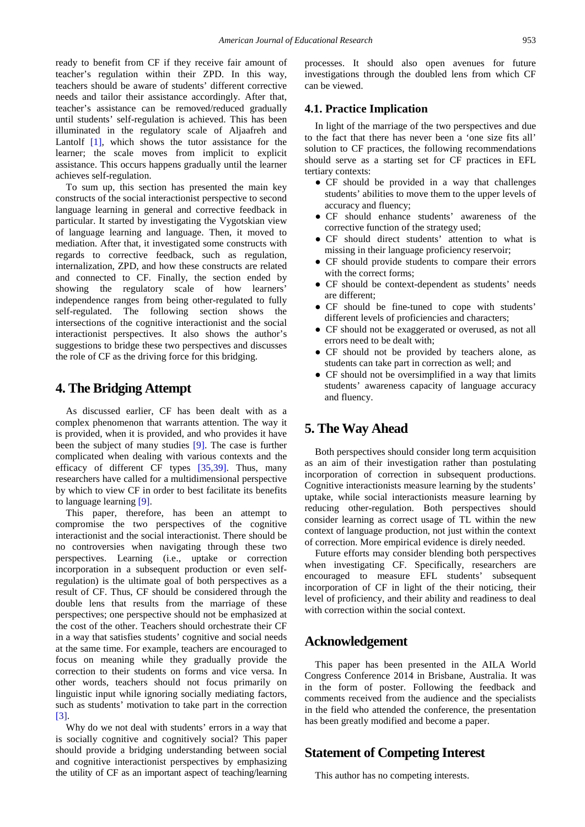ready to benefit from CF if they receive fair amount of teacher's regulation within their ZPD. In this way, teachers should be aware of students' different corrective needs and tailor their assistance accordingly. After that, teacher's assistance can be removed/reduced gradually until students' self-regulation is achieved. This has been illuminated in the regulatory scale of Aljaafreh and Lantolf [\[1\],](#page-4-23) which shows the tutor assistance for the learner; the scale moves from implicit to explicit assistance. This occurs happens gradually until the learner achieves self-regulation.

To sum up, this section has presented the main key constructs of the social interactionist perspective to second language learning in general and corrective feedback in particular. It started by investigating the Vygotskian view of language learning and language. Then, it moved to mediation. After that, it investigated some constructs with regards to corrective feedback, such as regulation, internalization, ZPD, and how these constructs are related and connected to CF. Finally, the section ended by showing the regulatory scale of how learners' independence ranges from being other-regulated to fully self-regulated. The following section shows the intersections of the cognitive interactionist and the social interactionist perspectives. It also shows the author's suggestions to bridge these two perspectives and discusses the role of CF as the driving force for this bridging.

## **4. The Bridging Attempt**

As discussed earlier, CF has been dealt with as a complex phenomenon that warrants attention. The way it is provided, when it is provided, and who provides it have been the subject of many studies [\[9\].](#page-4-1) The case is further complicated when dealing with various contexts and the efficacy of different CF types [\[35,39\].](#page-4-0) Thus, many researchers have called for a multidimensional perspective by which to view CF in order to best facilitate its benefits to language learning [\[9\].](#page-4-1) 

This paper, therefore, has been an attempt to compromise the two perspectives of the cognitive interactionist and the social interactionist. There should be no controversies when navigating through these two perspectives. Learning (i.e., uptake or correction incorporation in a subsequent production or even selfregulation) is the ultimate goal of both perspectives as a result of CF. Thus, CF should be considered through the double lens that results from the marriage of these perspectives; one perspective should not be emphasized at the cost of the other. Teachers should orchestrate their CF in a way that satisfies students' cognitive and social needs at the same time. For example, teachers are encouraged to focus on meaning while they gradually provide the correction to their students on forms and vice versa. In other words, teachers should not focus primarily on linguistic input while ignoring socially mediating factors, such as students' motivation to take part in the correction [3].

Why do we not deal with students' errors in a way that is socially cognitive and cognitively social? This paper should provide a bridging understanding between social and cognitive interactionist perspectives by emphasizing the utility of CF as an important aspect of teaching/learning processes. It should also open avenues for future investigations through the doubled lens from which CF can be viewed.

## **4.1. Practice Implication**

In light of the marriage of the two perspectives and due to the fact that there has never been a 'one size fits all' solution to CF practices, the following recommendations should serve as a starting set for CF practices in EFL tertiary contexts:

- CF should be provided in a way that challenges students' abilities to move them to the upper levels of accuracy and fluency;
- CF should enhance students' awareness of the corrective function of the strategy used;
- CF should direct students' attention to what is missing in their language proficiency reservoir;
- CF should provide students to compare their errors with the correct forms;
- CF should be context-dependent as students' needs are different;
- CF should be fine-tuned to cope with students' different levels of proficiencies and characters;
- CF should not be exaggerated or overused, as not all errors need to be dealt with;
- CF should not be provided by teachers alone, as students can take part in correction as well; and
- CF should not be oversimplified in a way that limits students' awareness capacity of language accuracy and fluency.

# **5. The Way Ahead**

Both perspectives should consider long term acquisition as an aim of their investigation rather than postulating incorporation of correction in subsequent productions. Cognitive interactionists measure learning by the students' uptake, while social interactionists measure learning by reducing other-regulation. Both perspectives should consider learning as correct usage of TL within the new context of language production, not just within the context of correction. More empirical evidence is direly needed.

Future efforts may consider blending both perspectives when investigating CF. Specifically, researchers are encouraged to measure EFL students' subsequent incorporation of CF in light of the their noticing, their level of proficiency, and their ability and readiness to deal with correction within the social context.

## **Acknowledgement**

This paper has been presented in the AILA World Congress Conference 2014 in Brisbane, Australia. It was in the form of poster. Following the feedback and comments received from the audience and the specialists in the field who attended the conference, the presentation has been greatly modified and become a paper.

# **Statement of Competing Interest**

This author has no competing interests.